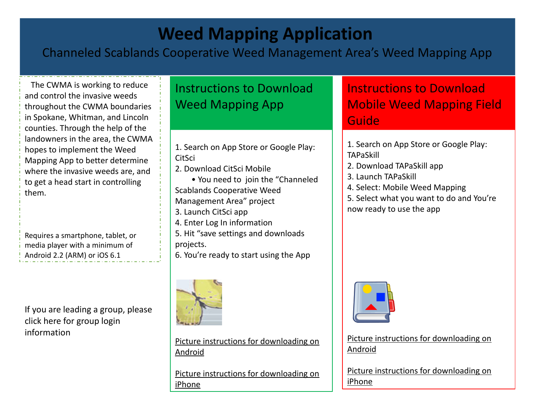# **Weed Mapping Application**

### Channeled Scablands Cooperative Weed Management Area's Weed Mapping App

 The CWMA is working to reduce and control the invasive weeds throughout the CWMA boundaries in Spokane, Whitman, and Lincoln counties. Through the help of the landowners in the area, the CWMA hopes to implement the Weed Mapping App to better determine where the invasive weeds are, and to get a head start in controlling them.

Requires a smartphone, tablet, or media player with a minimum of Android 2.2 (ARM) or iOS 6.1

If you are leading a group, please click here for group login information

## Instructions to Download Weed Mapping App

1. Search on App Store or Google Play: **CitSci** 

- 2. Download CitSci Mobile
- You need to join the "Channeled Scablands Cooperative Weed Management Area" project
- 
- 3. Launch CitSci app
- 4. Enter Log In information
- 5. Hit "save settings and downloads projects.

6. You're ready to start using the App



Picture instructions for downloading on Android

Picture instructions for downloading on iPhone

### Instructions to Download Mobile Weed Mapping Field Guide

- 1. Search on App Store or Google Play: TAPaSkill
- 2. Download TAPaSkill app
- 3. Launch TAPaSkill
- 4. Select: Mobile Weed Mapping
- 5. Select what you want to do and You're now ready to use the app



Picture instructions for downloading on Android

Picture instructions for downloading on iPhone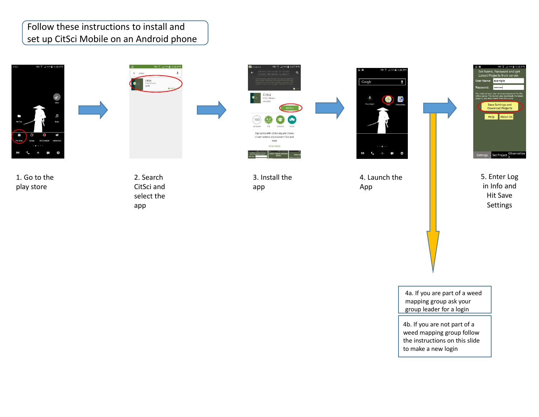#### Follow these instructions to install and set up CitSci Mobile on an Android phone



1. Go to the play store

 $\leftarrow$  riter CitSci<br>CitSci Mo<br>42 \*

**NU 3 4 62% #4:36 PM** 

2. Search CitSci and select the app



3. Install the app



4. Launch the App

5. Enter Log in Info and Hit Save Settings

Set Project Observatio

example

Save Settings and Help About Us

4a. If you are part of a weed mapping group ask your group leader for a login

4b. If you are not part of a weed mapping group follow the instructions on this slide to make a new login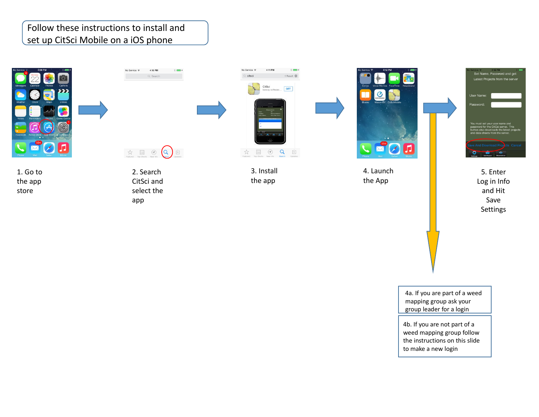#### Follow these instructions to install and set up CitSci Mobile on a iOS phone





 $\begin{picture}(120,140)(-20,140)(-20,140)(-20,140)(-20,140)(-20,140)(-20,140)(-20,140)(-20,140)(-20,140)(-20,140)(-20,140)(-20,140)(-20,140)(-20,140)(-20,140)(-20,140)(-20,140)(-20,140)(-20,140)(-20,140)(-20,140)(-20,140)(-20,140)(-20,140)(-20,140)(-20,140$ 

2. Search CitSci and select the app

4:10 PM

Q Search

 $\frac{1}{2}$  and  $\frac{1}{2}$ 

No Service  $\widehat{\infty}$ 



3. Install the app



4. Launch the App

5. Enter Log in Info and Hit Save Settings

Set Name, Password and get

Latest Projects from the server

**User Name** 

4a. If you are part of a weed mapping group ask your group leader for a login

4b. If you are not part of a weed mapping group follow the instructions on this slide to make a new login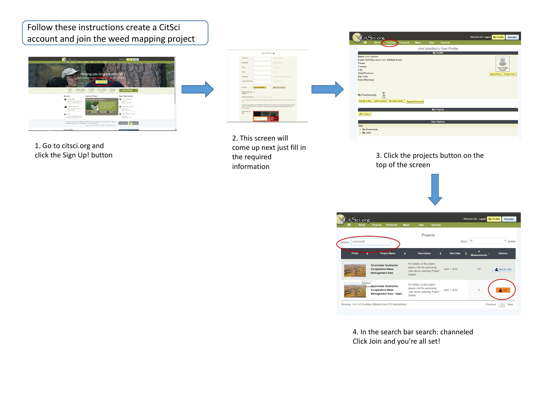Follow these instructions create a CitSci account and join the weed mapping project



1. Go to citsci.org and click the Sign Up! button

|                                                    | Join CitSci.org                                                                                                                                                                                                   |
|----------------------------------------------------|-------------------------------------------------------------------------------------------------------------------------------------------------------------------------------------------------------------------|
| <b>First Name</b>                                  | Afternoon shot same?                                                                                                                                                                                              |
| Last Name                                          | <b>Effects</b> your destinguist?                                                                                                                                                                                  |
| Email                                              | <b>THE R. P. LEWIS CO., LANSING.</b>                                                                                                                                                                              |
| Login                                              | <b>The Sales</b>                                                                                                                                                                                                  |
| Passaged                                           | What Emergins View Arber and                                                                                                                                                                                      |
| Contem Pennanni                                    | <b>FURSI ARRIVER</b>                                                                                                                                                                                              |
| <b>NV</b> Finle<br><b>Call Oliver Scientist</b>    | <b>California Constitution</b>                                                                                                                                                                                    |
| Receive Oktobarg un<br>LIDEITAK                    |                                                                                                                                                                                                                   |
| Terre & Conditions (1) New York Terrent automation |                                                                                                                                                                                                                   |
| <b>ISR</b>                                         | (1) The quality and completeness of cabi cannot be guaranteed. Users employ these cats at their cust-                                                                                                             |
| <b>Businessmann</b>                                | (2) Users must publicly acknowledge. In conjunction with the size of the data, the data providers inhous<br>data they have used. Data servicion may neavire additional attribution of specific collections within |
| Enter what you<br>ses:                             |                                                                                                                                                                                                                   |

2. This screen will come up next just fill in the required information



3. Click the projects button on the top of the screen





4. In the search bar search: channeled Click Join and you're all set!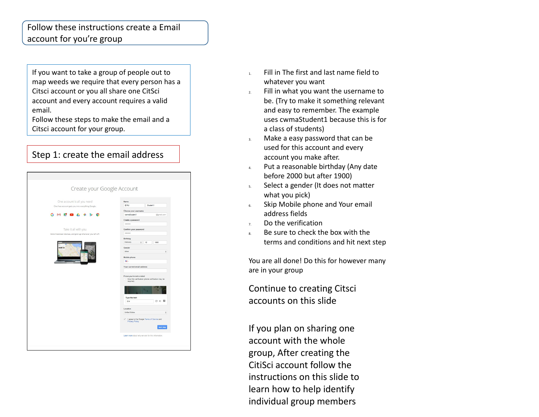#### Follow these instructions create a Email account for you're group

If you want to take a group of people out to map weeds we require that every person has a Citsci account or you all share one CitSci account and every account requires a valid email.

Follow these steps to make the email and a Citsci account for your group.

#### Step 1: create the email address

| One account is all you need                                | Name                                                           |                          |                                                   |  |
|------------------------------------------------------------|----------------------------------------------------------------|--------------------------|---------------------------------------------------|--|
|                                                            | EWU                                                            | Student1                 |                                                   |  |
| One free account gets you into everything Google.          |                                                                |                          |                                                   |  |
|                                                            | Choose your username                                           |                          |                                                   |  |
| GMR<br>$\sim$                                              | owmaStudent1                                                   | @gmsil.com               |                                                   |  |
|                                                            | Create a password                                              |                          |                                                   |  |
|                                                            |                                                                |                          |                                                   |  |
| Take it all with you                                       |                                                                | Confirm your password    |                                                   |  |
| Switch between devices, and pick up wherever you left off. |                                                                |                          |                                                   |  |
|                                                            | Birthday                                                       |                          |                                                   |  |
|                                                            | February                                                       | $\hat{\mathbf{v}}$<br>12 | 1990                                              |  |
|                                                            |                                                                |                          |                                                   |  |
|                                                            | Gender<br>Other                                                |                          |                                                   |  |
|                                                            |                                                                |                          |                                                   |  |
|                                                            | Mobile phone                                                   |                          |                                                   |  |
|                                                            | <b>HILL-</b>                                                   |                          |                                                   |  |
|                                                            | Your current email address                                     |                          |                                                   |  |
|                                                            |                                                                |                          |                                                   |  |
|                                                            | Prove you're not a robot                                       |                          |                                                   |  |
|                                                            | Skip this verification (phone verification may be              |                          |                                                   |  |
|                                                            | required)                                                      |                          |                                                   |  |
|                                                            |                                                                |                          |                                                   |  |
|                                                            |                                                                | $\sigma_{\perp}$         |                                                   |  |
|                                                            |                                                                |                          |                                                   |  |
|                                                            | Type the text:                                                 |                          | C +> E                                            |  |
|                                                            | 014                                                            |                          |                                                   |  |
|                                                            | Location                                                       |                          |                                                   |  |
|                                                            | <b>United States</b>                                           |                          |                                                   |  |
|                                                            |                                                                |                          |                                                   |  |
|                                                            | V I agree to the Google Terms of Service and<br>Privacy Policy |                          |                                                   |  |
|                                                            |                                                                |                          |                                                   |  |
|                                                            |                                                                |                          | Noxt step                                         |  |
|                                                            |                                                                |                          |                                                   |  |
|                                                            |                                                                |                          | Learn more about why we ask for this information. |  |

- 1. Fill in The first and last name field to whatever you want
- 2. Fill in what you want the username to be. (Try to make it something relevant and easy to remember. The example uses cwmaStudent1 because this is for a class of students)
- 3. Make a easy password that can be used for this account and every account you make after.
- 4. Put a reasonable birthday (Any date before 2000 but after 1900)
- 5. Select a gender (It does not matter what you pick)
- 6. Skip Mobile phone and Your email address fields
- $7.$  Do the verification
- $8.$  Be sure to check the box with the terms and conditions and hit next step

You are all done! Do this for however many are in your group

Continue to creating Citsci accounts on this slide

If you plan on sharing one account with the whole group, After creating the CitiSci account follow the instructions on this slide to learn how to help identify individual group members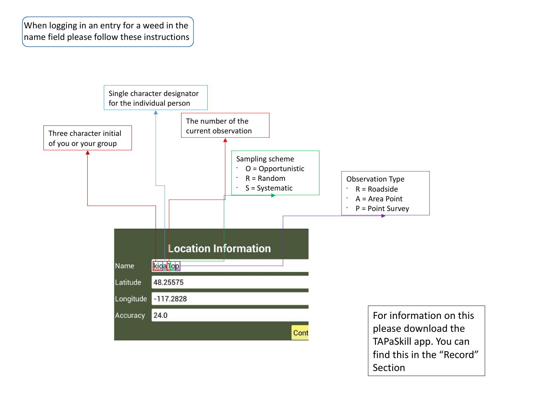When logging in an entry for a weed in the name field please follow these instructions



Section